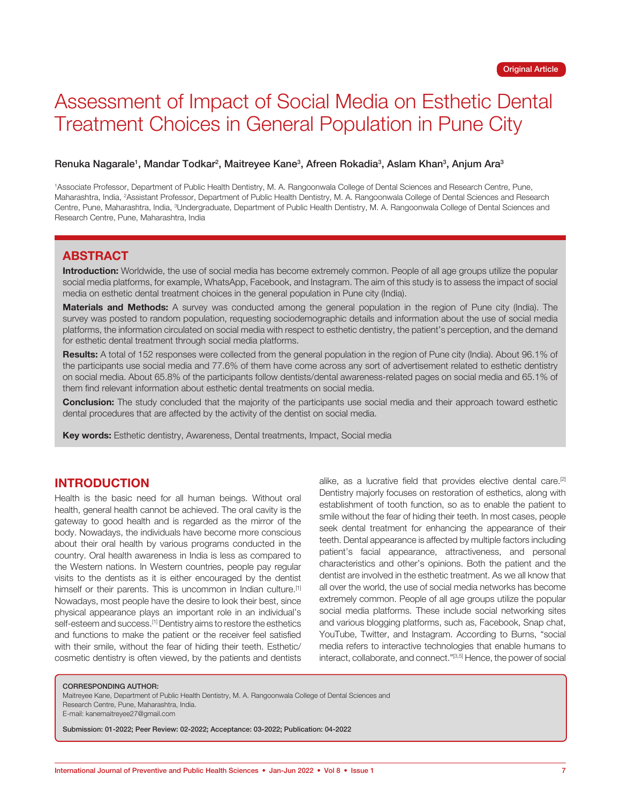# Assessment of Impact of Social Media on Esthetic Dental Treatment Choices in General Population in Pune City

#### Renuka Nagarale<sup>1</sup>, Mandar Todkar<sup>2</sup>, Maitreyee Kane<sup>3</sup>, Afreen Rokadia<sup>3</sup>, Aslam Khan<sup>3</sup>, Anjum Ara<sup>3</sup>

1 Associate Professor, Department of Public Health Dentistry, M. A. Rangoonwala College of Dental Sciences and Research Centre, Pune, Maharashtra, India, 2 Assistant Professor, Department of Public Health Dentistry, M. A. Rangoonwala College of Dental Sciences and Research Centre, Pune, Maharashtra, India, <sup>3</sup>Undergraduate, Department of Public Health Dentistry, M. A. Rangoonwala College of Dental Sciences and Research Centre, Pune, Maharashtra, India

### **ABSTRACT**

**Introduction:** Worldwide, the use of social media has become extremely common. People of all age groups utilize the popular social media platforms, for example, WhatsApp, Facebook, and Instagram. The aim of this study is to assess the impact of social media on esthetic dental treatment choices in the general population in Pune city (India).

**Materials and Methods:** A survey was conducted among the general population in the region of Pune city (India). The survey was posted to random population, requesting sociodemographic details and information about the use of social media platforms, the information circulated on social media with respect to esthetic dentistry, the patient's perception, and the demand for esthetic dental treatment through social media platforms.

Results: A total of 152 responses were collected from the general population in the region of Pune city (India). About 96.1% of the participants use social media and 77.6% of them have come across any sort of advertisement related to esthetic dentistry on social media. About 65.8% of the participants follow dentists/dental awareness-related pages on social media and 65.1% of them find relevant information about esthetic dental treatments on social media.

**Conclusion:** The study concluded that the majority of the participants use social media and their approach toward esthetic dental procedures that are affected by the activity of the dentist on social media.

**Key words:** Esthetic dentistry, Awareness, Dental treatments, Impact, Social media

# **INTRODUCTION**

Health is the basic need for all human beings. Without oral health, general health cannot be achieved. The oral cavity is the gateway to good health and is regarded as the mirror of the body. Nowadays, the individuals have become more conscious about their oral health by various programs conducted in the country. Oral health awareness in India is less as compared to the Western nations. In Western countries, people pay regular visits to the dentists as it is either encouraged by the dentist himself or their parents. This is uncommon in Indian culture.<sup>[1]</sup> Nowadays, most people have the desire to look their best, since physical appearance plays an important role in an individual's self-esteem and success.<sup>[1]</sup> Dentistry aims to restore the esthetics and functions to make the patient or the receiver feel satisfied with their smile, without the fear of hiding their teeth. Esthetic/ cosmetic dentistry is often viewed, by the patients and dentists

alike, as a lucrative field that provides elective dental care.[2] Dentistry majorly focuses on restoration of esthetics, along with establishment of tooth function, so as to enable the patient to smile without the fear of hiding their teeth. In most cases, people seek dental treatment for enhancing the appearance of their teeth. Dental appearance is affected by multiple factors including patient's facial appearance, attractiveness, and personal characteristics and other's opinions. Both the patient and the dentist are involved in the esthetic treatment. As we all know that all over the world, the use of social media networks has become extremely common. People of all age groups utilize the popular social media platforms. These include social networking sites and various blogging platforms, such as, Facebook, Snap chat, YouTube, Twitter, and Instagram. According to Burns, "social media refers to interactive technologies that enable humans to interact, collaborate, and connect."[3,5] Hence, the power of social

#### CORRESPONDING AUTHOR:

Maitreyee Kane, Department of Public Health Dentistry, M. A. Rangoonwala College of Dental Sciences and Research Centre, Pune, Maharashtra, India. E-mail: kanemaitreyee27@gmail.com

Submission: 01-2022; Peer Review: 02-2022; Acceptance: 03-2022; Publication: 04-2022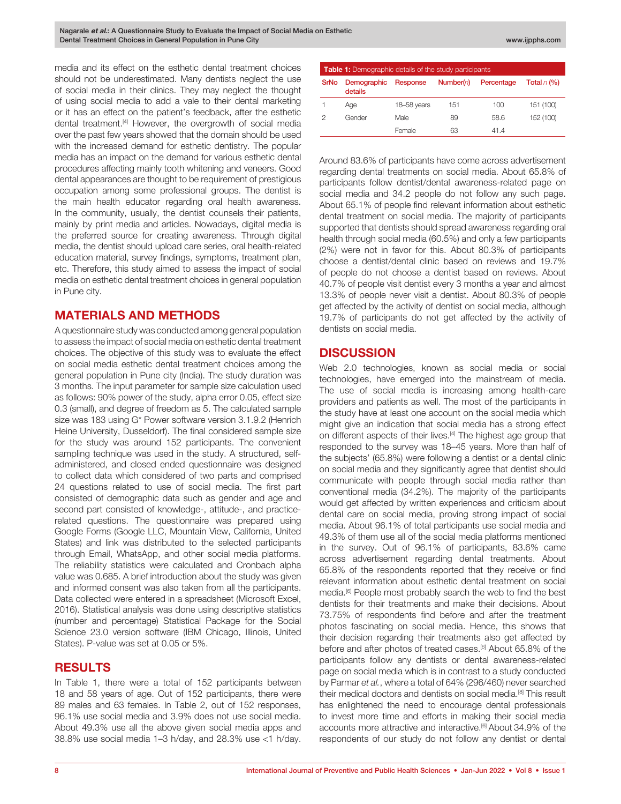media and its effect on the esthetic dental treatment choices should not be underestimated. Many dentists neglect the use of social media in their clinics. They may neglect the thought of using social media to add a vale to their dental marketing or it has an effect on the patient's feedback, after the esthetic dental treatment.<sup>[4]</sup> However, the overgrowth of social media over the past few years showed that the domain should be used with the increased demand for esthetic dentistry. The popular media has an impact on the demand for various esthetic dental procedures affecting mainly tooth whitening and veneers. Good dental appearances are thought to be requirement of prestigious occupation among some professional groups. The dentist is the main health educator regarding oral health awareness. In the community, usually, the dentist counsels their patients, mainly by print media and articles. Nowadays, digital media is the preferred source for creating awareness. Through digital media, the dentist should upload care series, oral health-related education material, survey findings, symptoms, treatment plan, etc. Therefore, this study aimed to assess the impact of social media on esthetic dental treatment choices in general population in Pune city.

# **MATERIALS AND METHODS**

A questionnaire study was conducted among general population to assess the impact of social media on esthetic dental treatment choices. The objective of this study was to evaluate the effect on social media esthetic dental treatment choices among the general population in Pune city (India). The study duration was 3 months. The input parameter for sample size calculation used as follows: 90% power of the study, alpha error 0.05, effect size 0.3 (small), and degree of freedom as 5. The calculated sample size was 183 using G\* Power software version 3.1.9.2 (Henrich Heine University, Dusseldorf). The final considered sample size for the study was around 152 participants. The convenient sampling technique was used in the study. A structured, selfadministered, and closed ended questionnaire was designed to collect data which considered of two parts and comprised 24 questions related to use of social media. The first part consisted of demographic data such as gender and age and second part consisted of knowledge-, attitude-, and practicerelated questions. The questionnaire was prepared using Google Forms (Google LLC, Mountain View, California, United States) and link was distributed to the selected participants through Email, WhatsApp, and other social media platforms. The reliability statistics were calculated and Cronbach alpha value was 0.685. A brief introduction about the study was given and informed consent was also taken from all the participants. Data collected were entered in a spreadsheet (Microsoft Excel, 2016). Statistical analysis was done using descriptive statistics (number and percentage) Statistical Package for the Social Science 23.0 version software (IBM Chicago, Illinois, United States). P-value was set at 0.05 or 5%.

## **RESULTS**

In Table 1, there were a total of 152 participants between 18 and 58 years of age. Out of 152 participants, there were 89 males and 63 females. In Table 2, out of 152 responses, 96.1% use social media and 3.9% does not use social media. About 49.3% use all the above given social media apps and 38.8% use social media 1–3 h/day, and 28.3% use <1 h/day.

| <b>Table 1:</b> Demographic details of the study participants |                        |             |               |            |               |  |  |  |  |
|---------------------------------------------------------------|------------------------|-------------|---------------|------------|---------------|--|--|--|--|
| <b>SrNo</b>                                                   | Demographic<br>details | Response    | Number( $n$ ) | Percentage | Total $n$ (%) |  |  |  |  |
|                                                               | Age                    | 18-58 years | 151           | 100        | 151 (100)     |  |  |  |  |
| 2                                                             | Gender                 | Male        | 89            | 58.6       | 152 (100)     |  |  |  |  |
|                                                               |                        | Female      | 63            | 41.4       |               |  |  |  |  |

Around 83.6% of participants have come across advertisement regarding dental treatments on social media. About 65.8% of participants follow dentist/dental awareness-related page on social media and 34.2 people do not follow any such page. About 65.1% of people find relevant information about esthetic dental treatment on social media. The majority of participants supported that dentists should spread awareness regarding oral health through social media (60.5%) and only a few participants (2%) were not in favor for this. About 80.3% of participants choose a dentist/dental clinic based on reviews and 19.7% of people do not choose a dentist based on reviews. About 40.7% of people visit dentist every 3 months a year and almost 13.3% of people never visit a dentist. About 80.3% of people get affected by the activity of dentist on social media, although 19.7% of participants do not get affected by the activity of dentists on social media.

## **DISCUSSION**

Web 2.0 technologies, known as social media or social technologies, have emerged into the mainstream of media. The use of social media is increasing among health-care providers and patients as well. The most of the participants in the study have at least one account on the social media which might give an indication that social media has a strong effect on different aspects of their lives.<sup>[4]</sup> The highest age group that responded to the survey was 18–45 years. More than half of the subjects' (65.8%) were following a dentist or a dental clinic on social media and they significantly agree that dentist should communicate with people through social media rather than conventional media (34.2%). The majority of the participants would get affected by written experiences and criticism about dental care on social media, proving strong impact of social media. About 96.1% of total participants use social media and 49.3% of them use all of the social media platforms mentioned in the survey. Out of 96.1% of participants, 83.6% came across advertisement regarding dental treatments. About 65.8% of the respondents reported that they receive or find relevant information about esthetic dental treatment on social media.<sup>[6]</sup> People most probably search the web to find the best dentists for their treatments and make their decisions. About 73.75% of respondents find before and after the treatment photos fascinating on social media. Hence, this shows that their decision regarding their treatments also get affected by before and after photos of treated cases.[6] About 65.8% of the participants follow any dentists or dental awareness-related page on social media which is in contrast to a study conducted by Parmar *et al.*, where a total of 64% (296/460) never searched their medical doctors and dentists on social media.[8] This result has enlightened the need to encourage dental professionals to invest more time and efforts in making their social media accounts more attractive and interactive.[6] About 34.9% of the respondents of our study do not follow any dentist or dental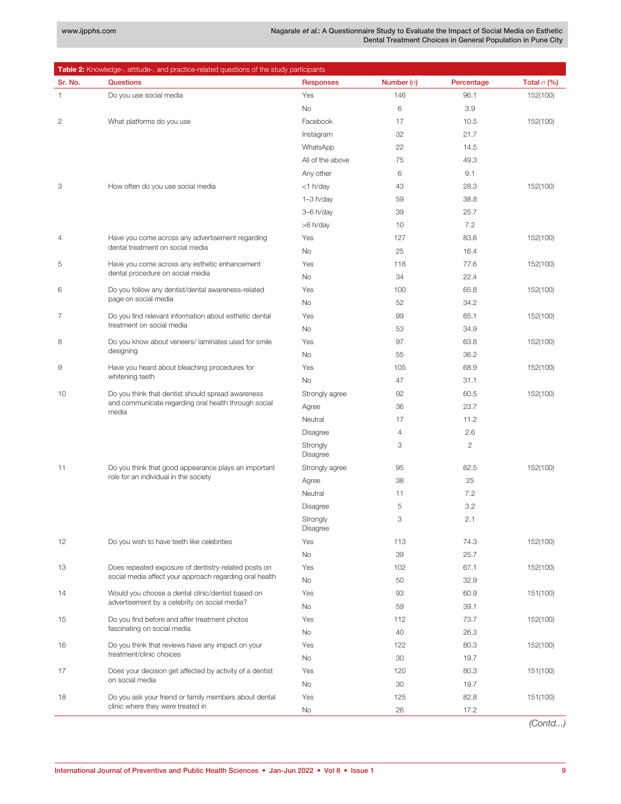| <b>Table 2:</b> Knowledge-, attitude-, and practice-related questions of the study participants |                                                                                                                    |                      |                |                |               |  |  |
|-------------------------------------------------------------------------------------------------|--------------------------------------------------------------------------------------------------------------------|----------------------|----------------|----------------|---------------|--|--|
| Sr. No.                                                                                         | <b>Questions</b>                                                                                                   | <b>Responses</b>     | Number $(n)$   | Percentage     | Total $n$ (%) |  |  |
| $\mathbf{1}$                                                                                    | Do you use social media                                                                                            | Yes                  | 146            | 96.1           | 152(100)      |  |  |
| $\overline{2}$                                                                                  |                                                                                                                    | <b>No</b>            | 6              | 3.9            |               |  |  |
|                                                                                                 | What platforms do you use                                                                                          | Facebook             | 17             | 10.5           | 152(100)      |  |  |
|                                                                                                 |                                                                                                                    | Instagram            | 32             | 21.7           |               |  |  |
|                                                                                                 |                                                                                                                    | WhatsApp             | 22             | 14.5           |               |  |  |
|                                                                                                 |                                                                                                                    | All of the above     | 75             | 49.3           |               |  |  |
|                                                                                                 |                                                                                                                    | Any other            | 6              | 9.1            |               |  |  |
| 3                                                                                               | How often do you use social media                                                                                  | <1 h/day             | 43             | 28.3           | 152(100)      |  |  |
|                                                                                                 |                                                                                                                    | $1-3 h/day$          | 59             | 38.8           |               |  |  |
|                                                                                                 |                                                                                                                    | 3-6 h/day            | 39             | 25.7           |               |  |  |
|                                                                                                 |                                                                                                                    | >6 h/day             | 10             | 7.2            |               |  |  |
| $\overline{4}$                                                                                  | Have you come across any advertisement regarding<br>dental treatment on social media                               | Yes                  | 127            | 83.6           | 152(100)      |  |  |
|                                                                                                 |                                                                                                                    | No                   | 25             | 16.4           |               |  |  |
| 5                                                                                               | Have you come across any esthetic enhancement                                                                      | Yes                  | 118            | 77.6           | 152(100)      |  |  |
|                                                                                                 | dental procedure on social media                                                                                   | No                   | 34             | 22.4           |               |  |  |
| 6                                                                                               | Do you follow any dentist/dental awareness-related                                                                 | Yes                  | 100            | 65.8           | 152(100)      |  |  |
|                                                                                                 | page on social media                                                                                               | No                   | 52             | 34.2           |               |  |  |
| 7                                                                                               | Do you find relevant information about esthetic dental<br>treatment on social media                                | Yes                  | 99             | 65.1           | 152(100)      |  |  |
|                                                                                                 |                                                                                                                    | No                   | 53             | 34.9           |               |  |  |
| 8                                                                                               | Do you know about veneers/laminates used for smile                                                                 | Yes                  | 97             | 63.8           | 152(100)      |  |  |
|                                                                                                 | designing                                                                                                          | No                   | 55             | 36.2           |               |  |  |
| 9                                                                                               | Have you heard about bleaching procedures for<br>whitening teeth                                                   | Yes                  | 105            | 68.9           | 152(100)      |  |  |
|                                                                                                 |                                                                                                                    | No                   | 47             | 31.1           |               |  |  |
| 10                                                                                              | Do you think that dentist should spread awareness<br>and communicate regarding oral health through social<br>media | Strongly agree       | 92             | 60.5           | 152(100)      |  |  |
|                                                                                                 |                                                                                                                    | Agree                | 36             | 23.7           |               |  |  |
|                                                                                                 |                                                                                                                    | Neutral              | 17             | 11.2           |               |  |  |
|                                                                                                 |                                                                                                                    | Disagree             | $\overline{4}$ | 2.6            |               |  |  |
|                                                                                                 |                                                                                                                    | Strongly             | 3              | $\overline{2}$ |               |  |  |
|                                                                                                 | Do you think that good appearance plays an important<br>role for an individual in the society                      | Disagree             |                |                |               |  |  |
| 11                                                                                              |                                                                                                                    | Strongly agree       | 95             | 62.5           | 152(100)      |  |  |
|                                                                                                 |                                                                                                                    | Agree                | 38             | 25             |               |  |  |
|                                                                                                 |                                                                                                                    | Neutral              | 11             | 7.2            |               |  |  |
|                                                                                                 |                                                                                                                    | Disagree             | 5              | 3.2            |               |  |  |
|                                                                                                 |                                                                                                                    | Strongly<br>Disagree | 3              | 2.1            |               |  |  |
| 12                                                                                              | Do you wish to have teeth like celebrities                                                                         | Yes                  | 113            | 74.3           | 152(100)      |  |  |
|                                                                                                 |                                                                                                                    | No                   | 39             | 25.7           |               |  |  |
| 13                                                                                              | Does repeated exposure of dentistry-related posts on                                                               | Yes                  | 102            | 67.1           | 152(100)      |  |  |
|                                                                                                 | social media affect your approach regarding oral health                                                            | No                   | 50             | 32.9           |               |  |  |
| 14                                                                                              | Would you choose a dental clinic/dentist based on                                                                  | Yes                  | 93             | 60.9           | 151(100)      |  |  |
|                                                                                                 | advertisement by a celebrity on social media?                                                                      | No                   | 59             | 39.1           |               |  |  |
| 15                                                                                              | Do you find before and after treatment photos                                                                      | Yes                  | 112            | 73.7           | 152(100)      |  |  |
|                                                                                                 | fascinating on social media                                                                                        | No                   | 40             | 26.3           |               |  |  |
| 16                                                                                              | Do you think that reviews have any impact on your                                                                  | Yes                  | 122            | 80.3           | 152(100)      |  |  |
|                                                                                                 | treatment/clinic choices                                                                                           | No                   | 30             | 19.7           |               |  |  |
| 17                                                                                              | Does your decision get affected by activity of a dentist                                                           | Yes                  | 120            | 80.3           | 151(100)      |  |  |
|                                                                                                 | on social media                                                                                                    | No                   | 30             | 19.7           |               |  |  |
| 18                                                                                              | Do you ask your friend or family members about dental                                                              | Yes                  | 125            | 82.8           | 151(100)      |  |  |
|                                                                                                 | clinic where they were treated in                                                                                  | No                   | 26             | 17.2           |               |  |  |

*(Contd...)*